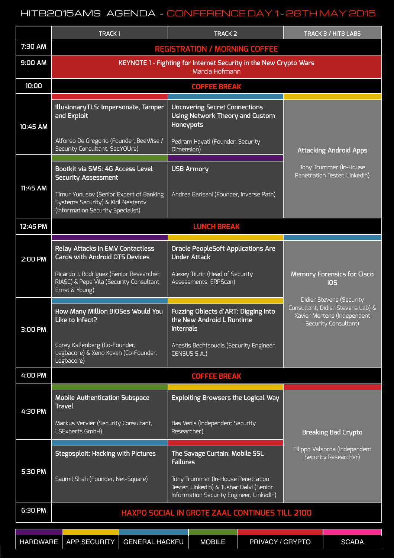## HITB2015AMS AGENDA - CONFERENCE DAY 1 - 28TH MAY 2015

|          | <b>TRACK1</b>                                                                                                      | <b>TRACK 2</b>                                                                                                             | TRACK 3 / HITB LABS                                                                                                  |  |  |  |
|----------|--------------------------------------------------------------------------------------------------------------------|----------------------------------------------------------------------------------------------------------------------------|----------------------------------------------------------------------------------------------------------------------|--|--|--|
| 7:30 AM  | <b>REGISTRATION / MORNING COFFEE</b>                                                                               |                                                                                                                            |                                                                                                                      |  |  |  |
| 9:00 AM  | KEYNOTE 1 - Fighting for Internet Security in the New Crypto Wars<br>Marcia Hofmann                                |                                                                                                                            |                                                                                                                      |  |  |  |
| 10:00    |                                                                                                                    | <b>COFFEE BREAK</b>                                                                                                        |                                                                                                                      |  |  |  |
| 10:45 AM | IllusionaryTLS: Impersonate, Tamper<br>and Exploit                                                                 | <b>Uncovering Secret Connections</b><br>Using Network Theory and Custom<br><b>Honeypots</b>                                |                                                                                                                      |  |  |  |
|          | Alfonso De Gregorio (Founder, BeeWise /<br>Security Consultant, SecYOUre)                                          | Pedram Hayati (Founder, Security<br>Dimension)                                                                             | <b>Attacking Android Apps</b>                                                                                        |  |  |  |
| 11:45 AM | Bootkit via SMS: 4G Access Level<br><b>Security Assessment</b>                                                     | <b>USB Armory</b>                                                                                                          | Tony Trummer (In-House<br>Penetration Tester, LinkedIn)                                                              |  |  |  |
|          | Timur Yunusov (Senior Expert of Banking<br>Systems Security) & Kiril Nesterov<br>(Information Security Specialist) | Andrea Barisani (Founder, Inverse Path)                                                                                    |                                                                                                                      |  |  |  |
| 12:45 PM | <b>LUNCH BREAK</b>                                                                                                 |                                                                                                                            |                                                                                                                      |  |  |  |
| 2:00 PM  | <b>Relay Attacks in EMV Contactless</b><br><b>Cards with Android OTS Devices</b>                                   | <b>Oracle PeopleSoft Applications Are</b><br><b>Under Attack</b>                                                           |                                                                                                                      |  |  |  |
|          | Ricardo J. Rodriguez (Senior Researcher,<br>RIASC) & Pepe Vila (Security Consultant,<br>Ernst & Young)             | Alexey Tiurin (Head of Security<br>Assessments, ERPScan)                                                                   | <b>Memory Forensics for Cisco</b><br><b>iOS</b>                                                                      |  |  |  |
| 3:00 PM  | How Many Million BIOSes Would You<br>Like to Infect?                                                               | Fuzzing Objects d'ART: Digging Into<br>the New Android L Runtime<br><b>Internals</b>                                       | Didier Stevens (Security<br>Consultant, Didier Stevens Lab) &<br>Xavier Mertens (Independent<br>Security Consultant) |  |  |  |
|          | Corey Kallenberg (Co-Founder,<br>Legbacore) & Xeno Kovah (Co-Founder,<br>Legbacore)                                | Anestis Bechtsoudis (Security Engineer,<br>CENSUS S.A.)                                                                    |                                                                                                                      |  |  |  |
| 4:00 PM  |                                                                                                                    | <b>COFFEE BREAK</b>                                                                                                        |                                                                                                                      |  |  |  |
| 4:30 PM  | <b>Mobile Authentication Subspace</b><br><b>Travel</b>                                                             | <b>Exploiting Browsers the Logical Way</b>                                                                                 |                                                                                                                      |  |  |  |
|          | Markus Vervier (Security Consultant,<br>LSExperts GmbH)                                                            | Bas Venis (Independent Security<br>Researcher)                                                                             | <b>Breaking Bad Crypto</b>                                                                                           |  |  |  |
| 5:30 PM  | Stegosploit: Hacking with Pictures                                                                                 | The Savage Curtain: Mobile SSL<br><b>Failures</b>                                                                          | Filippo Valsorda (Independent<br>Security Researcher)                                                                |  |  |  |
|          | Saumil Shah (Founder, Net-Square)                                                                                  | Tony Trummer (In-House Penetration<br>Tester, LinkedIn) & Tushar Dalvi (Senior<br>Information Security Engineer, LinkedIn) |                                                                                                                      |  |  |  |
| 6:30 PM  | HAXPO SOCIAL IN GROTE ZAAL CONTINUES TILL 2100                                                                     |                                                                                                                            |                                                                                                                      |  |  |  |

|  |  | │ HARDWARE │ APP SECURITY │ GENERAL HACKFU │ | <b>MOBILE</b> | <b>PRIVACY / CRYPTO</b> | <b>SCADA</b> |
|--|--|----------------------------------------------|---------------|-------------------------|--------------|
|--|--|----------------------------------------------|---------------|-------------------------|--------------|